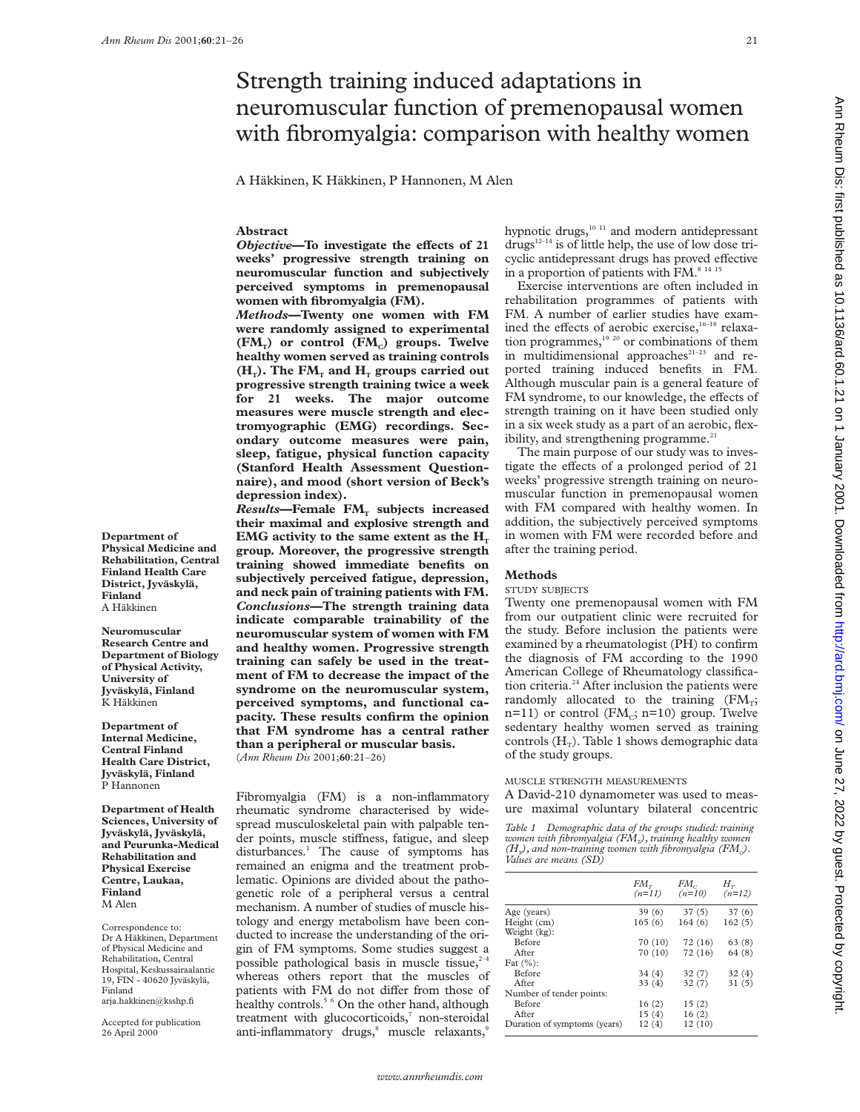Ann Rheum Dis: first published as 10.1136/ard.60.1.21 on 1 January 2001. Downloaded from http://ard.brm/ on June 27, 2022 by guest. Protected by copyright Ann Rheum Dis: first published as 10.1136/ard. Protected as 10.21 on 1 January 2001. Downloaded from Ann Rheum Dis: first published as 10.121 and 27, 2022 by guest Protected by copyright.

# Strength training induced adaptations in neuromuscular function of premenopausal women with fibromyalgia: comparison with healthy women

A Häkkinen, K Häkkinen, P Hannonen, M Alen

## **Abstract**

*Objective*—To investigate the effects of 21 **weeks' progressive strength training on neuromuscular function and subjectively perceived symptoms in premenopausal women with fibromyalgia (FM).**

*Methods***—Twenty one women with FM were randomly assigned to experimental**  $(FM_T)$  or control  $(FM_C)$  groups. Twelve **healthy women served as training controls**  $(H<sub>r</sub>)$ . The FM<sub>r</sub> and H<sub>r</sub> groups carried out **progressive strength training twice a week for 21 weeks. The major outcome measures were muscle strength and electromyographic (EMG) recordings. Secondary outcome measures were pain, sleep, fatigue, physical function capacity (Stanford Health Assessment Questionnaire), and mood (short version of Beck's depression index).**

 $Results$ —Female  $FM<sub>T</sub>$  subjects increased **their maximal and explosive strength and EMG** activity to the same extent as the  $H<sub>r</sub>$ **group. Moreover, the progressive strength training showed immediate benefits on subjectively perceived fatigue, depression, and neck pain of training patients with FM.** *Conclusions***—The strength training data indicate comparable trainability of the neuromuscular system of women with FM and healthy women. Progressive strength training can safely be used in the treatment of FM to decrease the impact of the syndrome on the neuromuscular system, perceived symptoms, and functional capacity. These results confirm the opinion that FM syndrome has a central rather than a peripheral or muscular basis.** (*Ann Rheum Dis* 2001;**60**:21–26)

Fibromyalgia (FM) is a non-inflammatory rheumatic syndrome characterised by widespread musculoskeletal pain with palpable tender points, muscle stiffness, fatigue, and sleep disturbances.<sup>1</sup> The cause of symptoms has remained an enigma and the treatment problematic. Opinions are divided about the pathogenetic role of a peripheral versus a central mechanism. A number of studies of muscle histology and energy metabolism have been conducted to increase the understanding of the origin of FM symptoms. Some studies suggest a possible pathological basis in muscle tissue, $2^{-4}$ whereas others report that the muscles of patients with FM do not differ from those of healthy controls.<sup>5 6</sup> On the other hand, although treatment with glucocorticoids, $\frac{7}{1}$  non-steroidal anti-inflammatory drugs,<sup>8</sup> muscle relaxants,<sup>9</sup>

hypnotic drugs,<sup>10 11</sup> and modern antidepressant  $drugs^{12-14}$  is of little help, the use of low dose tricyclic antidepressant drugs has proved effective in a proportion of patients with FM.<sup>8 14 15</sup>

Exercise interventions are often included in rehabilitation programmes of patients with FM. A number of earlier studies have examined the effects of aerobic exercise,<sup>16–18</sup> relaxation programmes,<sup>19 20</sup> or combinations of them in multidimensional approaches $21-23$  and reported training induced benefits in FM. Although muscular pain is a general feature of FM syndrome, to our knowledge, the effects of strength training on it have been studied only in a six week study as a part of an aerobic, flexibility, and strengthening programme.<sup>21</sup>

The main purpose of our study was to investigate the effects of a prolonged period of 21 weeks' progressive strength training on neuromuscular function in premenopausal women with FM compared with healthy women. In addition, the subjectively perceived symptoms in women with FM were recorded before and after the training period.

#### **Methods**

#### STUDY SUBJECTS

Twenty one premenopausal women with FM from our outpatient clinic were recruited for the study. Before inclusion the patients were examined by a rheumatologist (PH) to confirm the diagnosis of FM according to the 1990 American College of Rheumatology classification criteria.<sup>24</sup> After inclusion the patients were randomly allocated to the training  $(FM_T;$  $n=11$ ) or control (FM<sub>c</sub>;  $n=10$ ) group. Twelve sedentary healthy women served as training controls  $(H_T)$ . Table 1 shows demographic data of the study groups.

#### MUSCLE STRENGTH MEASUREMENTS

A David-210 dynamometer was used to measure maximal voluntary bilateral concentric

*Table 1 Demographic data of the groups studied: training women with fibromyalgia (FM<sub>T</sub>)*, training healthy women  $(H<sub>x</sub>)$ , and non-training women with fibromyalgia (FM<sub>c</sub>). *Values are means (SD)*

| $FM_{T}$<br>$(n=11)$ | $FM_{c}$<br>$(n=10)$ | $H_{\tau}$<br>$(n=12)$ |
|----------------------|----------------------|------------------------|
| 39(6)                | 37(5)                | 37(6)                  |
| 165(6)               | 164(6)               | 162(5)                 |
|                      |                      |                        |
| 70 (10)              | 72 (16)              | 63(8)                  |
| 70 (10)              | 72 (16)              | 64 (8)                 |
|                      |                      |                        |
| 34(4)                | 32(7)                | 32(4)                  |
| 33(4)                | 32(7)                | 31(5)                  |
|                      |                      |                        |
| 16(2)                | 15(2)                |                        |
| 15(4)                | 16(2)                |                        |
| 12(4)                | 12(10)               |                        |
|                      |                      |                        |

**Department of Physical Medicine and Rehabilitation, Central Finland Health Care District, Jyväskylä, Finland** A Häkkinen

**Neuromuscular Research Centre and Department of Biology of Physical Activity, University of Jyväskylä, Finland** K Häkkinen

**Department of Internal Medicine, Central Finland Health Care District, Jyväskylä, Finland** P Hannonen

**Department of Health Sciences, University of Jyväskylä, Jyväskylä, and Peurunka-Medical Rehabilitation and Physical Exercise Centre, Laukaa, Finland** M Alen

Correspondence to: Dr A Häkkinen, Department of Physical Medicine and Rehabilitation, Central Hospital, Keskussairaalantie 19, FIN - 40620 Jyväskylä, Finland arja.hakkinen@ksshp.fi

Accepted for publication 26 April 2000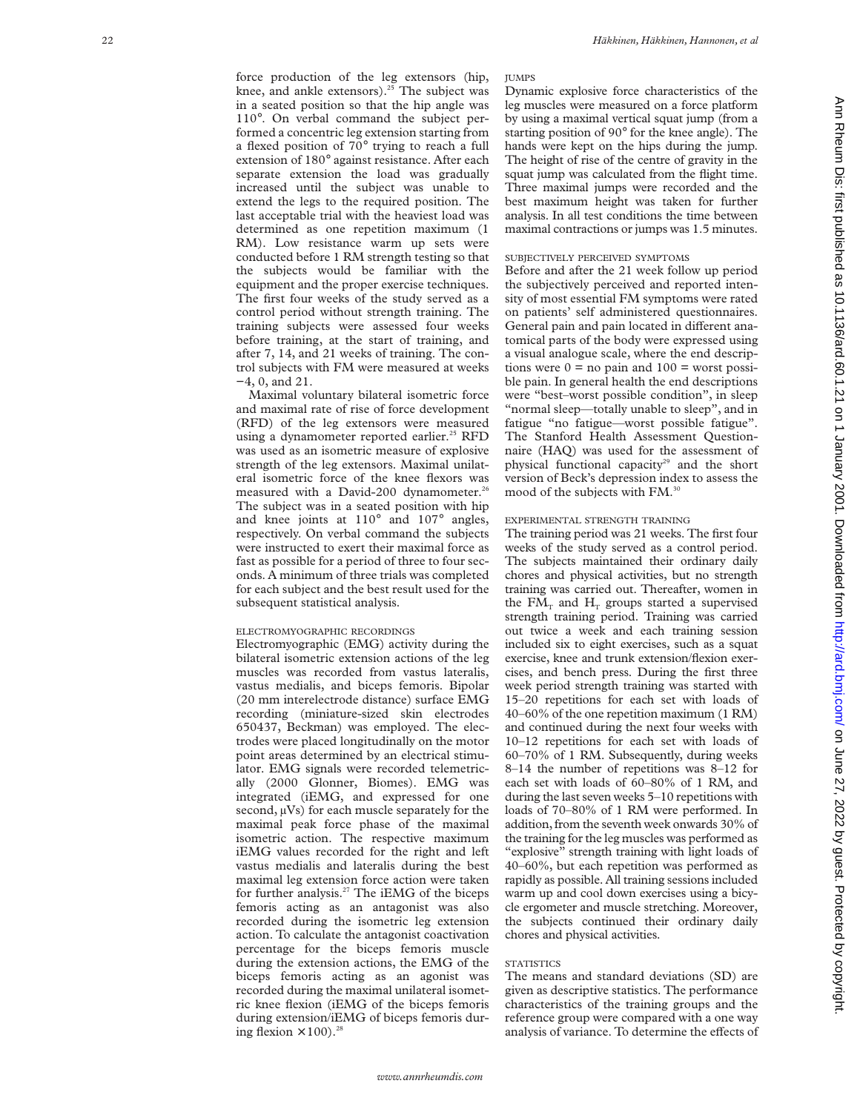force production of the leg extensors (hip, knee, and ankle extensors).<sup>25</sup> The subject was in a seated position so that the hip angle was 110 °. On verbal command the subject performed a concentric leg extension starting from a flexed position of 70 ° trying to reach a full extension of 180 ° against resistance. After each separate extension the load was gradually increased until the subject was unable to extend the legs to the required position. The last acceptable trial with the heaviest load was determined as one repetition maximum (1 RM). Low resistance warm up sets were conducted before 1 RM strength testing so that the subjects would be familiar with the

equipment and the proper exercise techniques. The first four weeks of the study served as a control period without strength training. The training subjects were assessed four weeks before training, at the start of training, and after 7, 14, and 21 weeks of training. The control subjects with FM were measured at weeks −4, 0, and 21.

Maximal voluntary bilateral isometric force and maximal rate of rise of force development (RFD) of the leg extensors were measured using a dynamometer reported earlier.<sup>25</sup> RFD was used as an isometric measure of explosive strength of the leg extensors. Maximal unilateral isometric force of the knee flexors was measured with a David-200 dynamometer.<sup>26</sup> The subject was in a seated position with hip and knee joints at 110 ° and 107 ° angles, respectively. On verbal command the subjects were instructed to exert their maximal force as fast as possible for a period of three to four seconds. A minimum of three trials was completed for each subject and the best result used for the subsequent statistical analysis.

#### ELECTROMYOGRAPHIC RECORDINGS

Electromyographic (EMG) activity during the bilateral isometric extension actions of the leg muscles was recorded from vastus lateralis, vastus medialis, and biceps femoris. Bipolar (20 mm interelectrode distance) surface EMG recording (miniature-sized skin electrodes 650437, Beckman) was employed. The electrodes were placed longitudinally on the motor point areas determined by an electrical stimulator. EMG signals were recorded telemetrically (2000 Glonner, Biomes). EMG was integrated (iEMG, and expressed for one second,  $\mu$ Vs) for each muscle separately for the maximal peak force phase of the maximal isometric action. The respective maximum iEMG values recorded for the right and left vastus medialis and lateralis during the best maximal leg extension force action were taken for further analysis.<sup>27</sup> The iEMG of the biceps femoris acting as an antagonist was also recorded during the isometric leg extension action. To calculate the antagonist coactivation percentage for the biceps femoris muscle during the extension actions, the EMG of the biceps femoris acting as an agonist was recorded during the maximal unilateral isometric knee flexion (iEMG of the biceps femoris during extension/iEMG of biceps femoris during flexion  $\times$  100).<sup>28</sup>

#### *TUMPS*

Dynamic explosive force characteristics of the leg muscles were measured on a force platform by using a maximal vertical squat jump (from a starting position of 90 ° for the knee angle). The hands were kept on the hips during the jump. The height of rise of the centre of gravity in the squat jump was calculated from the flight time. Three maximal jumps were recorded and the best maximum height was taken for further analysis. In all test conditions the time between maximal contractions or jumps was 1.5 minutes.

# SUBIECTIVELY PERCEIVED SYMPTOMS

Before and after the 21 week follow up period the subjectively perceived and reported intensity of most essential FM symptoms were rated on patients' self administered questionnaires. General pain and pain located in different anatomical parts of the body were expressed using a visual analogue scale, where the end descriptions were  $0 =$  no pain and  $100 =$  worst possible pain. In general health the end descriptions were "best–worst possible condition", in sleep "normal sleep—totally unable to sleep", and in fatigue "no fatigue—worst possible fatigue". The Stanford Health Assessment Questionnaire (HAQ) was used for the assessment of physical functional capacity<sup>29</sup> and the short version of Beck's depression index to assess the mood of the subjects with FM.<sup>30</sup>

# EXPERIMENTAL STRENGTH TRAINING

The training period was 21 weeks. The first four weeks of the study served as a control period. The subjects maintained their ordinary daily chores and physical activities, but no strength training was carried out. Thereafter, women in the  $FM_{T}$  and  $H_{T}$  groups started a supervised strength training period. Training was carried out twice a week and each training session included six to eight exercises, such as a squat exercise, knee and trunk extension/flexion exercises, and bench press. During the first three week period strength training was started with 15–20 repetitions for each set with loads of 40–60% of the one repetition maximum (1 RM) and continued during the next four weeks with 10–12 repetitions for each set with loads of 60–70% of 1 RM. Subsequently, during weeks 8–14 the number of repetitions was 8–12 for each set with loads of 60–80% of 1 RM, and during the last seven weeks 5–10 repetitions with loads of 70–80% of 1 RM were performed. In addition, from the seventh week onwards 30% of the training for the leg muscles was performed as "explosive" strength training with light loads of 40–60%, but each repetition was performed as rapidly as possible. All training sessions included warm up and cool down exercises using a bicycle ergometer and muscle stretching. Moreover, the subjects continued their ordinary daily chores and physical activities.

# **STATISTICS**

The means and standard deviations (SD) are given as descriptive statistics. The performance characteristics of the training groups and the reference group were compared with a one way analysis of variance. To determine the effects of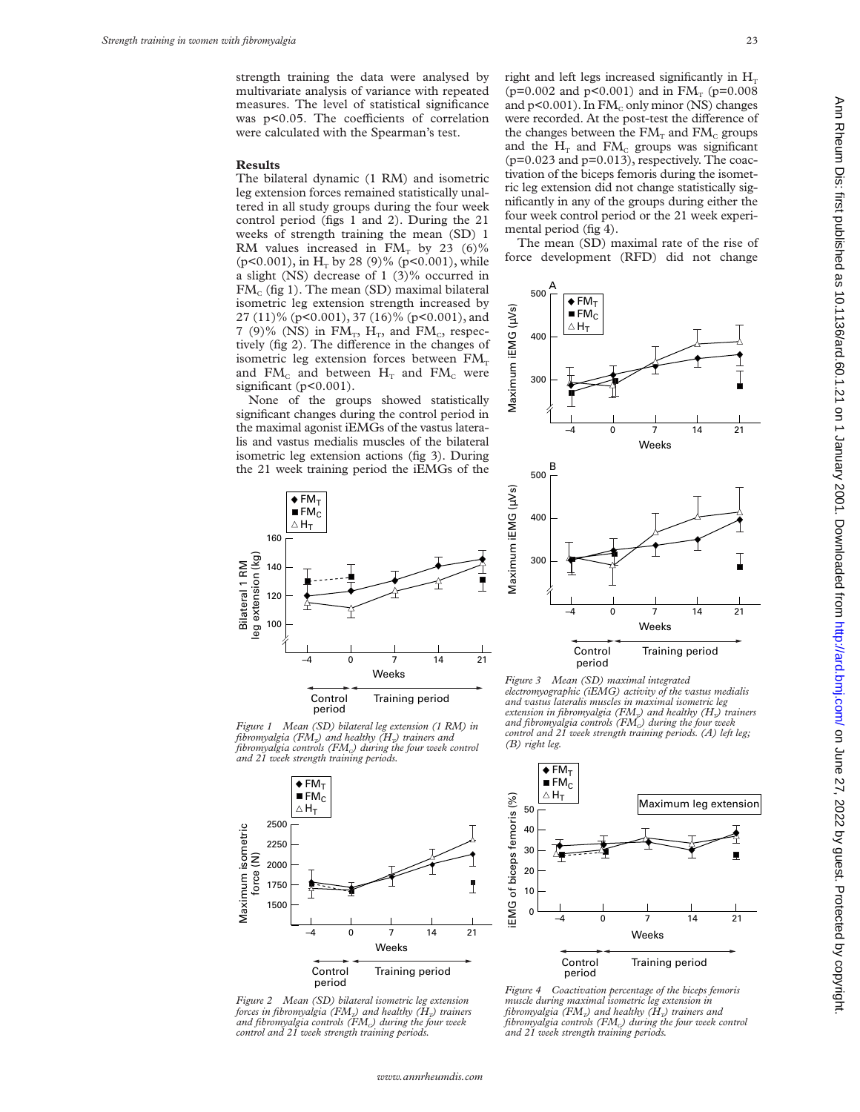strength training the data were analysed by multivariate analysis of variance with repeated measures. The level of statistical significance was  $p<0.05$ . The coefficients of correlation were calculated with the Spearman's test.

#### **Results**

The bilateral dynamic (1 RM) and isometric leg extension forces remained statistically unaltered in all study groups during the four week control period (figs 1 and 2). During the 21 weeks of strength training the mean (SD) 1 RM values increased in  $FM<sub>T</sub>$  by 23 (6)% (p<0.001), in H<sub>T</sub> by 28 (9)% (p<0.001), while a slight (NS) decrease of 1 (3)% occurred in  $FM<sub>c</sub>$  (fig 1). The mean (SD) maximal bilateral isometric leg extension strength increased by 27 (11)% (p<0.001), 37 (16)% (p<0.001), and 7 (9)% (NS) in  $FM_T$ ,  $H_T$ , and  $FM_C$ , respectively (fig  $2$ ). The difference in the changes of isometric leg extension forces between  $FM<sub>T</sub>$ and FM<sub>c</sub> and between  $H<sub>T</sub>$  and FM<sub>c</sub> were significant (p<0.001).

None of the groups showed statistically significant changes during the control period in the maximal agonist iEMGs of the vastus lateralis and vastus medialis muscles of the bilateral isometric leg extension actions (fig 3). During the 21 week training period the iEMGs of the



*Figure 1 Mean (SD) bilateral leg extension (1 RM) in fibromyalgia (FM<sub>T</sub>) and healthy*  $(H_T)$  *trainers and fibromyalgia controls (FM<sub>c</sub>) during the four week control and 21 week strength training periods.*



*Figure 2 Mean (SD) bilateral isometric leg extension forces in fibromyalgia (FM<sub>T</sub>) and healthy (* $H_T$ *) trainers* and fibromyalgia controls (FM<sub>c</sub>) during the four week *control and 21 week strength training periods.*

right and left legs increased significantly in  $H_T$ (p=0.002 and p<0.001) and in  $FM_T$  (p=0.008) and  $p<0.001$ ). In  $FM<sub>c</sub>$  only minor (NS) changes were recorded. At the post-test the difference of the changes between the  $FM<sub>T</sub>$  and  $FM<sub>C</sub>$  groups and the  $H_T$  and  $FM_c$  groups was significant (p=0.023 and p=0.013), respectively. The coactivation of the biceps femoris during the isometric leg extension did not change statistically significantly in any of the groups during either the four week control period or the 21 week experimental period (fig 4).

The mean (SD) maximal rate of the rise of force development (RFD) did not change



*Figure 3 Mean (SD) maximal integrated electromyographic (iEMG) activity of the vastus medialis and vastus lateralis muscles in maximal isometric leg extension in fibromyalgia (FMT) and healthy (HT) trainers and fibromyalgia controls (FMC) during the four week control and 21 week strength training periods. (A) left leg; (B) right leg.*



*Figure 4 Coactivation percentage of the biceps femoris muscle during maximal isometric leg extension in fibromyalgia* ( $FM<sub>T</sub>$ ) and healthy ( $\ddot{H}<sub>T</sub>$ ) trainers and *fibromyalgia controls (FMC) during the four week control and 21 week strength training periods.*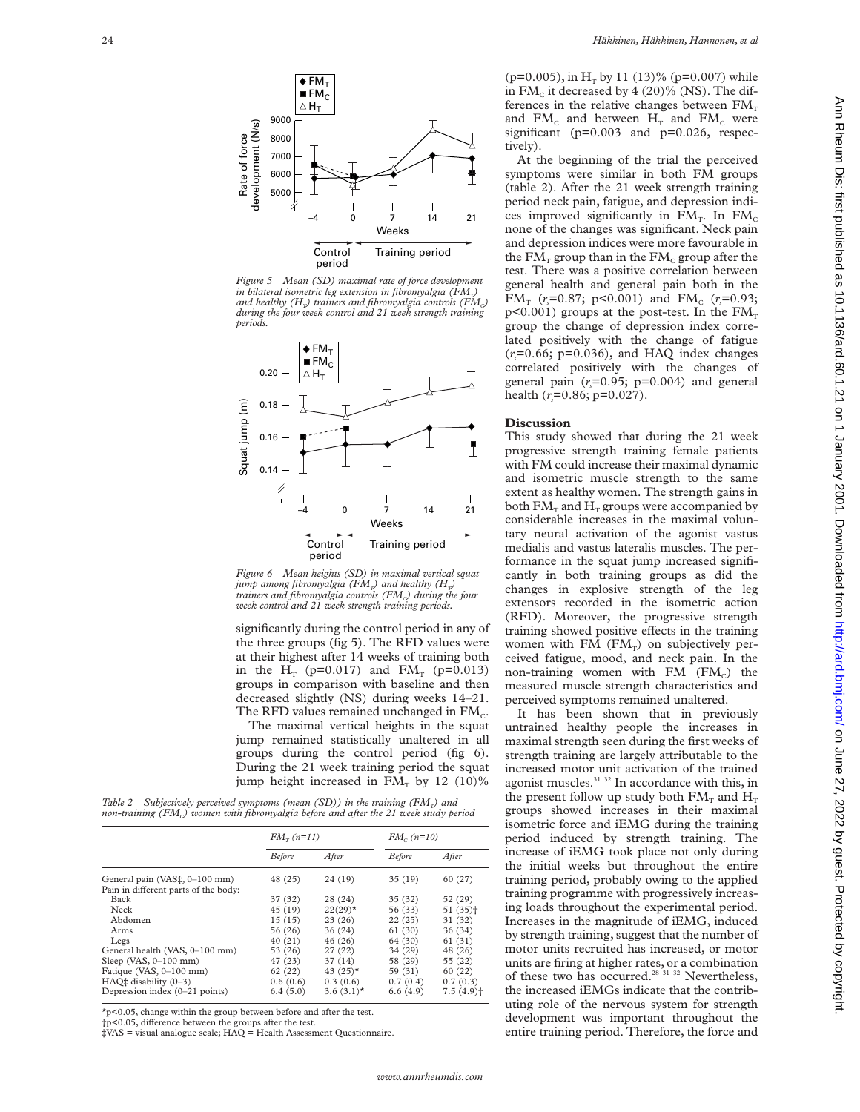

*Figure 5 Mean (SD) maximal rate of force development in bilateral isometric leg extension in fibromyalgia (FM<sub>T</sub>)* and healthy  $(H<sub>x</sub>)$  trainers and fibromyalgia controls  $(FM<sub>c</sub>)$ *during the four week control and 21 week strength training periods.*



*Figure 6 Mean heights (SD) in maximal vertical squat jump among fibromyalgia (FM<sub>7</sub>) and healthy (H<sub>7</sub>) trainers and fibromyalgia controls (FM<sub>c</sub>) during the four week control and 21 week strength training periods.*

significantly during the control period in any of the three groups (fig 5). The RFD values were at their highest after 14 weeks of training both in the H<sub>T</sub> (p=0.017) and FM<sub>T</sub> (p=0.013) groups in comparison with baseline and then decreased slightly (NS) during weeks 14–21. The RFD values remained unchanged in  $FM<sub>c</sub>$ .

The maximal vertical heights in the squat jump remained statistically unaltered in all groups during the control period (fig 6). During the 21 week training period the squat jump height increased in  $FM<sub>T</sub>$  by 12 (10)%

*Table 2 Subjectively perceived symptoms (mean (SD)) in the training (FM<sub>T</sub>) and non-training (FM<sub>C</sub>) women with fibromyalgia before and after the 21 week study period* 

|                                      | $FM_{T}(n=11)$ |                        | $FM_c(n=10)$  |                         |
|--------------------------------------|----------------|------------------------|---------------|-------------------------|
|                                      | <b>Before</b>  | After                  | <b>Before</b> | After                   |
| General pain (VAS‡, 0-100 mm)        | 48 (25)        | 24 (19)                | 35(19)        | 60 (27)                 |
| Pain in different parts of the body: |                |                        |               |                         |
| Back                                 | 37 (32)        | 28 (24)                | 35 (32)       | 52 (29)                 |
| Neck                                 | 45(19)         | $22(29)$ *             | 56 (33)       | 51 (35) <sup>+</sup>    |
| Abdomen                              | 15(15)         | 23(26)                 | 22(25)        | 31 (32)                 |
| Arms                                 | 56 (26)        | 36(24)                 | 61 (30)       | 36 (34)                 |
| Legs                                 | 40(21)         | 46(26)                 | 64 (30)       | 61 (31)                 |
| General health (VAS, 0-100 mm)       | 53 (26)        | 27(22)                 | 34 (29)       | 48 (26)                 |
| Sleep (VAS, $0-100$ mm)              | 47 (23)        | 37 (14)                | 58 (29)       | 55 (22)                 |
| Fatique (VAS, 0-100 mm)              | 62 (22)        | 43 $(25)$ <sup>*</sup> | 59 (31)       | 60 (22)                 |
| $HAQ+$ disability $(0-3)$            | 0.6(0.6)       | 0.3(0.6)               | 0.7(0.4)      | 0.7(0.3)                |
| Depression index (0-21 points)       | 6.4(5.0)       | $3.6(3.1)$ *           | 6.6(4.9)      | $7.5(4.9)$ <sup>+</sup> |

\*p<0.05, change within the group between before and after the test.

†p<0.05, difference between the groups after the test.

‡VAS = visual analogue scale; HAQ = Health Assessment Questionnaire.

(p=0.005), in H<sub>T</sub> by 11 (13)% (p=0.007) while in  $FM<sub>c</sub>$  it decreased by 4 (20)% (NS). The differences in the relative changes between  $FM<sub>T</sub>$ and  $FM_c$  and between  $H_T$  and  $FM_c$  were significant (p=0.003 and p=0.026, respectively).

At the beginning of the trial the perceived symptoms were similar in both FM groups (table 2). After the 21 week strength training period neck pain, fatigue, and depression indices improved significantly in  $FM_T$ . In  $FM_C$ none of the changes was significant. Neck pain and depression indices were more favourable in the  $FM<sub>T</sub>$  group than in the  $FM<sub>C</sub>$  group after the test. There was a positive correlation between general health and general pain both in the  $FM_T$  ( $r_s = 0.87$ ; p<0.001) and  $FM_C$  ( $r_s = 0.93$ ; p<0.001) groups at the post-test. In the  $FM_T$ group the change of depression index correlated positively with the change of fatigue (*rs* =0.66; p=0.036), and HAQ index changes correlated positively with the changes of general pain  $(r<sub>s</sub>=0.95; p=0.004)$  and general health ( $r_s$ =0.86; p=0.027).

### **Discussion**

This study showed that during the 21 week progressive strength training female patients with FM could increase their maximal dynamic and isometric muscle strength to the same extent as healthy women. The strength gains in both  $FM<sub>T</sub>$  and  $H<sub>T</sub>$  groups were accompanied by considerable increases in the maximal voluntary neural activation of the agonist vastus medialis and vastus lateralis muscles. The performance in the squat jump increased significantly in both training groups as did the changes in explosive strength of the leg extensors recorded in the isometric action (RFD). Moreover, the progressive strength training showed positive effects in the training women with FM  $(FM_T)$  on subjectively perceived fatigue, mood, and neck pain. In the non-training women with  $FM$  ( $FM<sub>c</sub>$ ) the measured muscle strength characteristics and perceived symptoms remained unaltered.

It has been shown that in previously untrained healthy people the increases in maximal strength seen during the first weeks of strength training are largely attributable to the increased motor unit activation of the trained agonist muscles. $31 \frac{32}{2}$  In accordance with this, in the present follow up study both  $FM<sub>T</sub>$  and  $H<sub>T</sub>$ groups showed increases in their maximal isometric force and iEMG during the training period induced by strength training. The increase of iEMG took place not only during the initial weeks but throughout the entire training period, probably owing to the applied training programme with progressively increasing loads throughout the experimental period. Increases in the magnitude of iEMG, induced by strength training, suggest that the number of motor units recruited has increased, or motor units are firing at higher rates, or a combination of these two has occurred.<sup>28 31 32</sup> Nevertheless, the increased iEMGs indicate that the contributing role of the nervous system for strength development was important throughout the entire training period. Therefore, the force and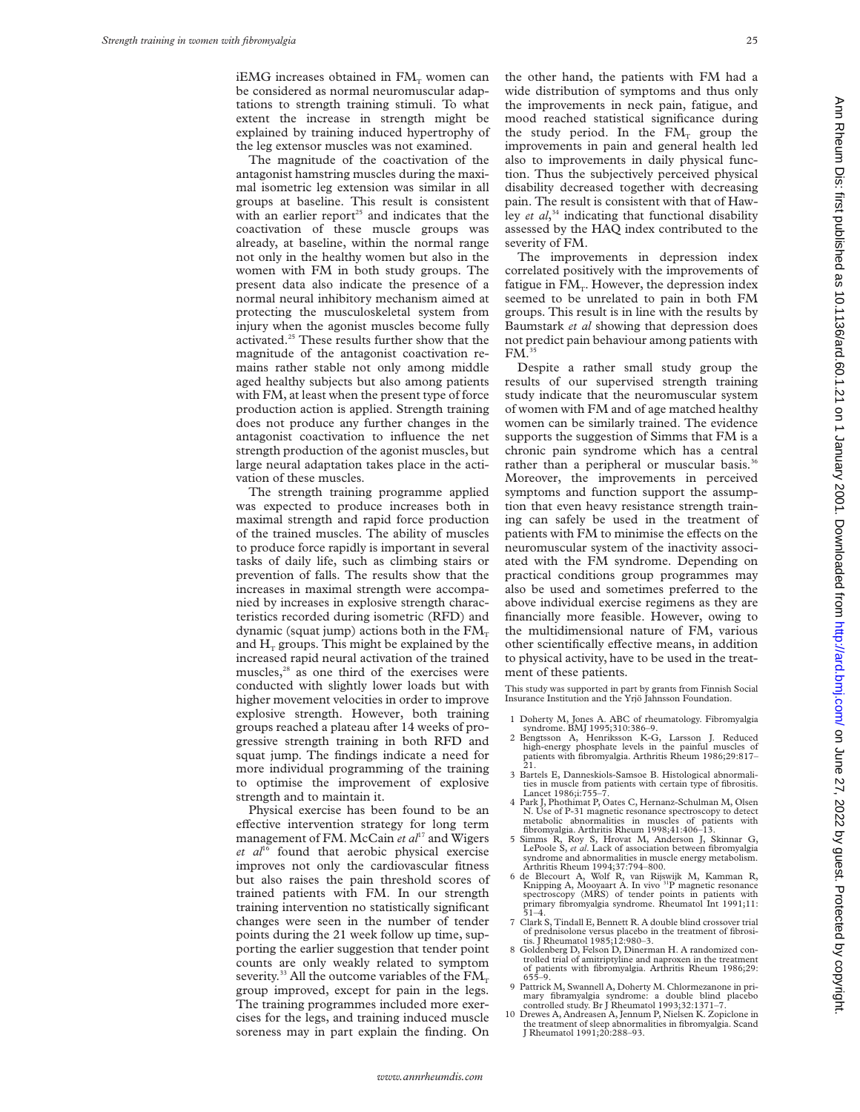iEMG increases obtained in  $FM<sub>T</sub>$  women can be considered as normal neuromuscular adaptations to strength training stimuli. To what extent the increase in strength might be explained by training induced hypertrophy of the leg extensor muscles was not examined.

The magnitude of the coactivation of the antagonist hamstring muscles during the maximal isometric leg extension was similar in all groups at baseline. This result is consistent with an earlier report<sup>25</sup> and indicates that the coactivation of these muscle groups was already, at baseline, within the normal range not only in the healthy women but also in the women with FM in both study groups. The present data also indicate the presence of a normal neural inhibitory mechanism aimed at protecting the musculoskeletal system from injury when the agonist muscles become fully activated.<sup>25</sup> These results further show that the magnitude of the antagonist coactivation remains rather stable not only among middle aged healthy subjects but also among patients with FM, at least when the present type of force production action is applied. Strength training does not produce any further changes in the antagonist coactivation to influence the net strength production of the agonist muscles, but large neural adaptation takes place in the activation of these muscles.

The strength training programme applied was expected to produce increases both in maximal strength and rapid force production of the trained muscles. The ability of muscles to produce force rapidly is important in several tasks of daily life, such as climbing stairs or prevention of falls. The results show that the increases in maximal strength were accompanied by increases in explosive strength characteristics recorded during isometric (RFD) and dynamic (squat jump) actions both in the  $FM<sub>r</sub>$ and  $H<sub>T</sub>$  groups. This might be explained by the increased rapid neural activation of the trained muscles,<sup>28</sup> as one third of the exercises were conducted with slightly lower loads but with higher movement velocities in order to improve explosive strength. However, both training groups reached a plateau after 14 weeks of progressive strength training in both RFD and squat jump. The findings indicate a need for more individual programming of the training to optimise the improvement of explosive strength and to maintain it.

Physical exercise has been found to be an effective intervention strategy for long term management of FM. McCain *et al*<sup>17</sup> and Wigers *et al*<sup>16</sup> found that aerobic physical exercise improves not only the cardiovascular fitness but also raises the pain threshold scores of trained patients with FM. In our strength training intervention no statistically significant changes were seen in the number of tender points during the 21 week follow up time, supporting the earlier suggestion that tender point counts are only weakly related to symptom severity.<sup>33</sup> All the outcome variables of the  $FM_T$ group improved, except for pain in the legs. The training programmes included more exercises for the legs, and training induced muscle soreness may in part explain the finding. On

the other hand, the patients with FM had a wide distribution of symptoms and thus only the improvements in neck pain, fatigue, and mood reached statistical significance during the study period. In the  $FM_T$  group the improvements in pain and general health led also to improvements in daily physical function. Thus the subjectively perceived physical disability decreased together with decreasing pain. The result is consistent with that of Hawley *et al*, <sup>34</sup> indicating that functional disability assessed by the HAQ index contributed to the severity of FM.

The improvements in depression index correlated positively with the improvements of fatigue in  $FM<sub>T</sub>$ . However, the depression index seemed to be unrelated to pain in both FM groups. This result is in line with the results by Baumstark *et al* showing that depression does not predict pain behaviour among patients with FM.35

Despite a rather small study group the results of our supervised strength training study indicate that the neuromuscular system of women with FM and of age matched healthy women can be similarly trained. The evidence supports the suggestion of Simms that FM is a chronic pain syndrome which has a central rather than a peripheral or muscular basis.<sup>36</sup> Moreover, the improvements in perceived symptoms and function support the assumption that even heavy resistance strength training can safely be used in the treatment of patients with FM to minimise the effects on the neuromuscular system of the inactivity associated with the FM syndrome. Depending on practical conditions group programmes may also be used and sometimes preferred to the above individual exercise regimens as they are financially more feasible. However, owing to the multidimensional nature of FM, various other scientifically effective means, in addition to physical activity, have to be used in the treatment of these patients.

This study was supported in part by grants from Finnish Social Insurance Institution and the Yrjö Jahnsson Foundation.

- 1 Doherty M, Jones A. ABC of rheumatology. Fibromyalgia syndrome. BMJ 1995;310:386–9.
- 2 Bengtsson A, Henriksson K-G, Larsson J. Reduced high-energy phosphate levels in the painful muscles of patients with fibromyalgia. Arthritis Rheum 1986;29:817–  $21.$
- 3 Bartels E, Danneskiols-Samsoe B. Histological abnormalities in muscle from patients with certain type of fibrositis. Lancet 1986;i:755–7.
- 4 Park J, Phothimat P, Oates C, Hernanz-Schulman M, Olsen N. Use of P-31 magnetic resonance spectroscopy to detect metabolic abnormalities in muscles of patients with fibromyalgia. Arthritis Rheum 1998;41:406–13.
- 5 Simms R, Roy S, Hrovat M, Anderson J, Skinnar G, LePoole S, *et al*. Lack of association between fibromyalgia syndrome and abnormalities in muscle energy metabolism. Arthritis Rheum 1994;37:794–800.
- 6 de Blecourt A, Wolf R, van Rijswijk M, Kamman R, Knipping A, Mooyaart A. In vivo 31P magnetic resonance spectroscopy (MRS) of tender points in patients with primary fibromyalgia syndrome. Rheumatol Int 1991;11:
- 51–4. 7 Clark S, Tindall E, Bennett R. A double blind crossover trial of prednisolone versus placebo in the treatment of fibrosi-tis. J Rheumatol 1985;12:980–3.
- 8 Goldenberg D, Felson D, Dinerman H. A randomized controlled trial of amitriptyline and naproxen in the treatment of patients with fibromyalgia. Arthritis Rheum 1986;29: 655–9.
- 9 Pattrick M, Swannell A, Doherty M. Chlormezanone in primary fibramyalgia syndrome: a double blind placebo controlled study. Br J Rheumatol 1993;32:1371–7.
- 10 Drewes A, Andreasen A, Jennum P, Nielsen K. Zopiclone in the treatment of sleep abnormalities in fibromyalgia. Scand J Rheumatol 1991;20:288–93.